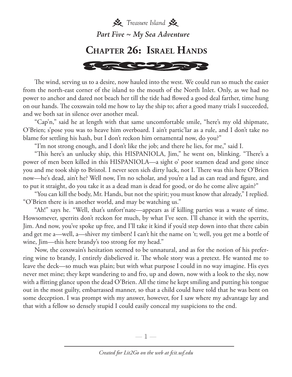

The wind, serving us to a desire, now hauled into the west. We could run so much the easier from the north-east corner of the island to the mouth of the North Inlet. Only, as we had no power to anchor and dared not beach her till the tide had flowed a good deal farther, time hung on our hands. The coxswain told me how to lay the ship to; after a good many trials I succeeded, and we both sat in silence over another meal.

"Cap'n," said he at length with that same uncomfortable smile, "here's my old shipmate, O'Brien; s'pose you was to heave him overboard. I ain't partic'lar as a rule, and I don't take no blame for settling his hash, but I don't reckon him ornamental now, do you?"

"I'm not strong enough, and I don't like the job; and there he lies, for me," said I.

"This here's an unlucky ship, this HISPANIOLA, Jim," he went on, blinking. "There's a power of men been killed in this HISPANIOLA—a sight o' poor seamen dead and gone since you and me took ship to Bristol. I never seen sich dirty luck, not I. There was this here O'Brien now—he's dead, ain't he? Well now, I'm no scholar, and you're a lad as can read and figure, and to put it straight, do you take it as a dead man is dead for good, or do he come alive again?"

"You can kill the body, Mr. Hands, but not the spirit; you must know that already," I replied. "O'Brien there is in another world, and may be watching us."

"Ah!" says he. "Well, that's unfort'nate—appears as if killing parties was a waste of time. Howsomever, sperrits don't reckon for much, by what I've seen. I'll chance it with the sperrits, Jim. And now, you've spoke up free, and I'll take it kind if you'd step down into that there cabin and get me a—well, a—shiver my timbers! I can't hit the name on 't; well, you get me a bottle of wine, Jim—this here brandy's too strong for my head."

Now, the coxswain's hesitation seemed to be unnatural, and as for the notion of his preferring wine to brandy, I entirely disbelieved it. The whole story was a pretext. He wanted me to leave the deck—so much was plain; but with what purpose I could in no way imagine. His eyes never met mine; they kept wandering to and fro, up and down, now with a look to the sky, now with a flitting glance upon the dead O'Brien. All the time he kept smiling and putting his tongue out in the most guilty, embarrassed manner, so that a child could have told that he was bent on some deception. I was prompt with my answer, however, for I saw where my advantage lay and that with a fellow so densely stupid I could easily conceal my suspicions to the end.

—  $\mathbb{I}$  —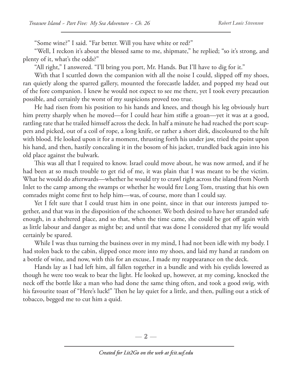"Some wine?" I said. "Far better. Will you have white or red?"

"Well, I reckon it's about the blessed same to me, shipmate," he replied; "so it's strong, and plenty of it, what's the odds?"

"All right," I answered. "I'll bring you port, Mr. Hands. But I'll have to dig for it."

With that I scuttled down the companion with all the noise I could, slipped off my shoes, ran quietly along the sparred gallery, mounted the forecastle ladder, and popped my head out of the fore companion. I knew he would not expect to see me there, yet I took every precaution possible, and certainly the worst of my suspicions proved too true.

He had risen from his position to his hands and knees, and though his leg obviously hurt him pretty sharply when he moved—for I could hear him stifle a groan—yet it was at a good, rattling rate that he trailed himself across the deck. In half a minute he had reached the port scuppers and picked, out of a coil of rope, a long knife, or rather a short dirk, discoloured to the hilt with blood. He looked upon it for a moment, thrusting forth his under jaw, tried the point upon his hand, and then, hastily concealing it in the bosom of his jacket, trundled back again into his old place against the bulwark.

This was all that I required to know. Israel could move about, he was now armed, and if he had been at so much trouble to get rid of me, it was plain that I was meant to be the victim. What he would do afterwards—whether he would try to crawl right across the island from North Inlet to the camp among the swamps or whether he would fire Long Tom, trusting that his own comrades might come first to help him—was, of course, more than I could say.

Yet I felt sure that I could trust him in one point, since in that our interests jumped together, and that was in the disposition of the schooner. We both desired to have her stranded safe enough, in a sheltered place, and so that, when the time came, she could be got off again with as little labour and danger as might be; and until that was done I considered that my life would certainly be spared.

While I was thus turning the business over in my mind, I had not been idle with my body. I had stolen back to the cabin, slipped once more into my shoes, and laid my hand at random on a bottle of wine, and now, with this for an excuse, I made my reappearance on the deck.

Hands lay as I had left him, all fallen together in a bundle and with his eyelids lowered as though he were too weak to bear the light. He looked up, however, at my coming, knocked the neck off the bottle like a man who had done the same thing often, and took a good swig, with his favourite toast of "Here's luck!" Then he lay quiet for a little, and then, pulling out a stick of tobacco, begged me to cut him a quid.

— 2 —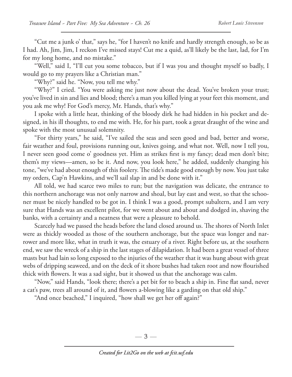"Cut me a junk o' that," says he, "for I haven't no knife and hardly strength enough, so be as I had. Ah, Jim, Jim, I reckon I've missed stays! Cut me a quid, as'll likely be the last, lad, for I'm for my long home, and no mistake."

"Well," said I, "I'll cut you some tobacco, but if I was you and thought myself so badly, I would go to my prayers like a Christian man."

"Why?" said he. "Now, you tell me why."

"Why?" I cried. "You were asking me just now about the dead. You've broken your trust; you've lived in sin and lies and blood; there's a man you killed lying at your feet this moment, and you ask me why! For God's mercy, Mr. Hands, that's why."

I spoke with a little heat, thinking of the bloody dirk he had hidden in his pocket and designed, in his ill thoughts, to end me with. He, for his part, took a great draught of the wine and spoke with the most unusual solemnity.

"For thirty years," he said, "I've sailed the seas and seen good and bad, better and worse, fair weather and foul, provisions running out, knives going, and what not. Well, now I tell you, I never seen good come o' goodness yet. Him as strikes first is my fancy; dead men don't bite; them's my views—amen, so be it. And now, you look here," he added, suddenly changing his tone, "we've had about enough of this foolery. The tide's made good enough by now. You just take my orders, Cap'n Hawkins, and we'll sail slap in and be done with it."

All told, we had scarce two miles to run; but the navigation was delicate, the entrance to this northern anchorage was not only narrow and shoal, but lay east and west, so that the schooner must be nicely handled to be got in. I think I was a good, prompt subaltern, and I am very sure that Hands was an excellent pilot, for we went about and about and dodged in, shaving the banks, with a certainty and a neatness that were a pleasure to behold.

Scarcely had we passed the heads before the land closed around us. The shores of North Inlet were as thickly wooded as those of the southern anchorage, but the space was longer and narrower and more like, what in truth it was, the estuary of a river. Right before us, at the southern end, we saw the wreck of a ship in the last stages of dilapidation. It had been a great vessel of three masts but had lain so long exposed to the injuries of the weather that it was hung about with great webs of dripping seaweed, and on the deck of it shore bushes had taken root and now flourished thick with flowers. It was a sad sight, but it showed us that the anchorage was calm.

"Now," said Hands, "look there; there's a pet bit for to beach a ship in. Fine flat sand, never a cat's paw, trees all around of it, and flowers a-blowing like a garding on that old ship."

"And once beached," I inquired, "how shall we get her off again?"

 $-3-$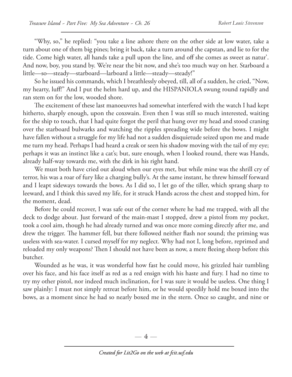"Why, so," he replied: "you take a line ashore there on the other side at low water, take a turn about one of them big pines; bring it back, take a turn around the capstan, and lie to for the tide. Come high water, all hands take a pull upon the line, and off she comes as sweet as natur'. And now, boy, you stand by. We're near the bit now, and she's too much way on her. Starboard a little—so—steady—starboard—larboard a little—steady—steady!"

So he issued his commands, which I breathlessly obeyed, till, all of a sudden, he cried, "Now, my hearty, luff!" And I put the helm hard up, and the HISPANIOLA swung round rapidly and ran stem on for the low, wooded shore.

The excitement of these last manoeuvres had somewhat interfered with the watch I had kept hitherto, sharply enough, upon the coxswain. Even then I was still so much interested, waiting for the ship to touch, that I had quite forgot the peril that hung over my head and stood craning over the starboard bulwarks and watching the ripples spreading wide before the bows. I might have fallen without a struggle for my life had not a sudden disquietude seized upon me and made me turn my head. Perhaps I had heard a creak or seen his shadow moving with the tail of my eye; perhaps it was an instinct like a cat's; but, sure enough, when I looked round, there was Hands, already half-way towards me, with the dirk in his right hand.

We must both have cried out aloud when our eyes met, but while mine was the shrill cry of terror, his was a roar of fury like a charging bully's. At the same instant, he threw himself forward and I leapt sideways towards the bows. As I did so, I let go of the tiller, which sprang sharp to leeward, and I think this saved my life, for it struck Hands across the chest and stopped him, for the moment, dead.

Before he could recover, I was safe out of the corner where he had me trapped, with all the deck to dodge about. Just forward of the main-mast I stopped, drew a pistol from my pocket, took a cool aim, though he had already turned and was once more coming directly after me, and drew the trigger. The hammer fell, but there followed neither flash nor sound; the priming was useless with sea-water. I cursed myself for my neglect. Why had not I, long before, reprimed and reloaded my only weapons? Then I should not have been as now, a mere fleeing sheep before this butcher.

Wounded as he was, it was wonderful how fast he could move, his grizzled hair tumbling over his face, and his face itself as red as a red ensign with his haste and fury. I had no time to try my other pistol, nor indeed much inclination, for I was sure it would be useless. One thing I saw plainly: I must not simply retreat before him, or he would speedily hold me boxed into the bows, as a moment since he had so nearly boxed me in the stern. Once so caught, and nine or

 $-4-$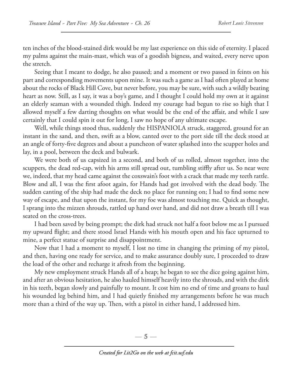ten inches of the blood-stained dirk would be my last experience on this side of eternity. I placed my palms against the main-mast, which was of a goodish bigness, and waited, every nerve upon the stretch.

Seeing that I meant to dodge, he also paused; and a moment or two passed in feints on his part and corresponding movements upon mine. It was such a game as I had often played at home about the rocks of Black Hill Cove, but never before, you may be sure, with such a wildly beating heart as now. Still, as I say, it was a boy's game, and I thought I could hold my own at it against an elderly seaman with a wounded thigh. Indeed my courage had begun to rise so high that I allowed myself a few darting thoughts on what would be the end of the affair, and while I saw certainly that I could spin it out for long, I saw no hope of any ultimate escape.

Well, while things stood thus, suddenly the HISPANIOLA struck, staggered, ground for an instant in the sand, and then, swift as a blow, canted over to the port side till the deck stood at an angle of forty-five degrees and about a puncheon of water splashed into the scupper holes and lay, in a pool, between the deck and bulwark.

We were both of us capsized in a second, and both of us rolled, almost together, into the scuppers, the dead red-cap, with his arms still spread out, tumbling stiffly after us. So near were we, indeed, that my head came against the coxswain's foot with a crack that made my teeth rattle. Blow and all, I was the first afoot again, for Hands had got involved with the dead body. The sudden canting of the ship had made the deck no place for running on; I had to find some new way of escape, and that upon the instant, for my foe was almost touching me. Quick as thought, I sprang into the mizzen shrouds, rattled up hand over hand, and did not draw a breath till I was seated on the cross-trees.

I had been saved by being prompt; the dirk had struck not half a foot below me as I pursued my upward flight; and there stood Israel Hands with his mouth open and his face upturned to mine, a perfect statue of surprise and disappointment.

Now that I had a moment to myself, I lost no time in changing the priming of my pistol, and then, having one ready for service, and to make assurance doubly sure, I proceeded to draw the load of the other and recharge it afresh from the beginning.

My new employment struck Hands all of a heap; he began to see the dice going against him, and after an obvious hesitation, he also hauled himself heavily into the shrouds, and with the dirk in his teeth, began slowly and painfully to mount. It cost him no end of time and groans to haul his wounded leg behind him, and I had quietly finished my arrangements before he was much more than a third of the way up. Then, with a pistol in either hand, I addressed him.

—  $5-$